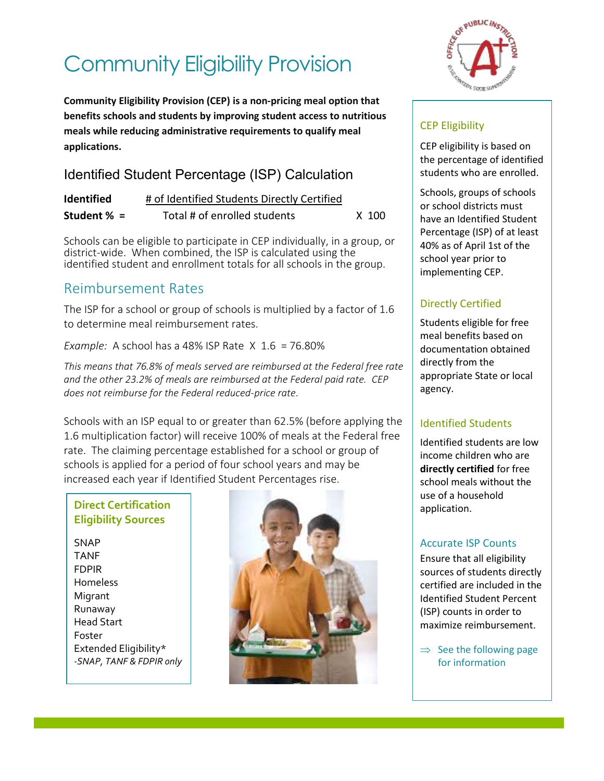# Community Eligibility Provision

 **Community Eligibility Provision (CEP) is a non-pricing meal option that benefits schools and students by improving student access to nutritious meals while reducing administrative requirements to qualify meal applications.** 

# Identified Student Percentage (ISP) Calculation

| <b>Identified</b> | # of Identified Students Directly Certified |       |
|-------------------|---------------------------------------------|-------|
| Student $% =$     | Total # of enrolled students                | X 100 |

 Schools can be eligible to participate in CEP individually, in a group, or district-wide. When combined, the ISP is calculated using the identified student and enrollment totals for all schools in the group.

# Reimbursement Rates

 The ISP for a school or group of schools is multiplied by a factor of 1.6 to determine meal reimbursement rates.

 *Example:* A school has a 48% ISP Rate X 1.6 = 76.80%

 *This means that 76.8% of meals served are reimbursed at the Federal free rate and the other 23.2% of meals are reimbursed at the Federal paid rate. CEP does not reimburse for the Federal reduced-price rate*.

 Schools with an ISP equal to or greater than 62.5% (before applying the 1.6 multiplication factor) will receive 100% of meals at the Federal free rate. The claiming percentage established for a school or group of schools is applied for a period of four school years and may be increased each year if Identified Student Percentages rise.

#### **Direct Certification Eligibility Sources**

SNAP TANF FDPIR Homeless **Migrant** Runaway Head Start Foster Extended Eligibility\* *-SNAP, TANF & FDPIR only* 





## CEP Eligibility

CEP eligibility is based on the percentage of identified students who are enrolled.

Schools, groups of schools or school districts must have an Identified Student Percentage (ISP) of at least 40% as of April 1st of the school year prior to implementing CEP.

### Directly Certified

 directly from the Students eligible for free meal benefits based on documentation obtained appropriate State or local agency.

### Identified Students

Identified students are low income children who are **directly certified** for free school meals without the use of a household application.

### Accurate ISP Counts

 (ISP) counts in order to Ensure that all eligibility sources of students directly certified are included in the Identified Student Percent maximize reimbursement.

 $\Rightarrow$  See the following page for information